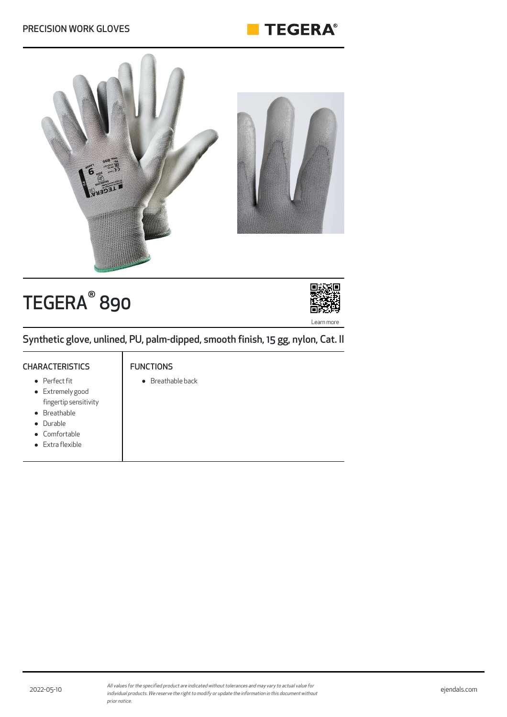#### PRECISION WORK GLOVES





# TEGERA<sup>®</sup> 890



Synthetic glove, unlined, PU, palm-dipped, smooth finish, 15 gg, nylon, Cat. II

#### **CHARACTERISTICS**

#### Perfect fit

- Extremely good fingertip sensitivity
- Breathable
- $\bullet$ Durable
- Comfortable
- Extra flexible

#### FUNCTIONS

Breathable back